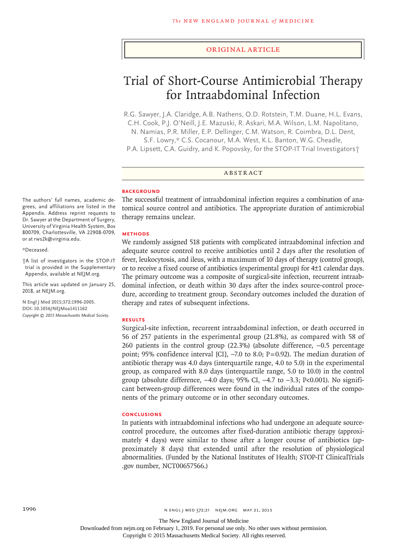### Original Article

# Trial of Short-Course Antimicrobial Therapy for Intraabdominal Infection

R.G. Sawyer, J.A. Claridge, A.B. Nathens, O.D. Rotstein, T.M. Duane, H.L. Evans, C.H. Cook, P.J. O'Neill, J.E. Mazuski, R. Askari, M.A. Wilson, L.M. Napolitano,

N. Namias, P.R. Miller, E.P. Dellinger, C.M. Watson, R. Coimbra, D.L. Dent,

S.F. Lowry,\* C.S. Cocanour, M.A. West, K.L. Banton, W.G. Cheadle,

P.A. Lipsett, C.A. Guidry, and K. Popovsky, for the STOP-IT Trial Investigators†

## ABSTRACT

## **BACKGROUND**

The authors' full names, academic degrees, and affiliations are listed in the Appendix. Address reprint requests to Dr. Sawyer at the Department of Surgery, University of Virginia Health System, Box 800709, Charlottesville, VA 22908-0709, or at rws2k@virginia.edu.

#### \*Deceased.

†A list of investigators in the STOP-IT trial is provided in the Supplementary Appendix, available at NEJM.org.

This article was updated on January 25, 2018, at NEJM.org.

**N Engl J Med 2015;372:1996-2005. DOI: 10.1056/NEJMoa1411162** *Copyright © 2015 Massachusetts Medical Society.* The successful treatment of intraabdominal infection requires a combination of anatomical source control and antibiotics. The appropriate duration of antimicrobial therapy remains unclear.

## **METHODS**

We randomly assigned 518 patients with complicated intraabdominal infection and adequate source control to receive antibiotics until 2 days after the resolution of fever, leukocytosis, and ileus, with a maximum of 10 days of therapy (control group), or to receive a fixed course of antibiotics (experimental group) for 4±1 calendar days. The primary outcome was a composite of surgical-site infection, recurrent intraabdominal infection, or death within 30 days after the index source-control procedure, according to treatment group. Secondary outcomes included the duration of therapy and rates of subsequent infections.

#### **RESULTS**

Surgical-site infection, recurrent intraabdominal infection, or death occurred in 56 of 257 patients in the experimental group (21.8%), as compared with 58 of 260 patients in the control group (22.3%) (absolute difference, −0.5 percentage point; 95% confidence interval [CI], -7.0 to 8.0; P=0.92). The median duration of antibiotic therapy was 4.0 days (interquartile range, 4.0 to 5.0) in the experimental group, as compared with 8.0 days (interquartile range, 5.0 to 10.0) in the control group (absolute difference,  $-4.0$  days; 95% CI,  $-4.7$  to  $-3.3$ ; P<0.001). No significant between-group differences were found in the individual rates of the components of the primary outcome or in other secondary outcomes.

#### **CONCLUSIONS**

In patients with intraabdominal infections who had undergone an adequate sourcecontrol procedure, the outcomes after fixed-duration antibiotic therapy (approximately 4 days) were similar to those after a longer course of antibiotics (approximately 8 days) that extended until after the resolution of physiological abnormalities. (Funded by the National Institutes of Health; STOP-IT ClinicalTrials .gov number, NCT00657566.)

The New England Journal of Medicine

Downloaded from nejm.org on February 1, 2019. For personal use only. No other uses without permission.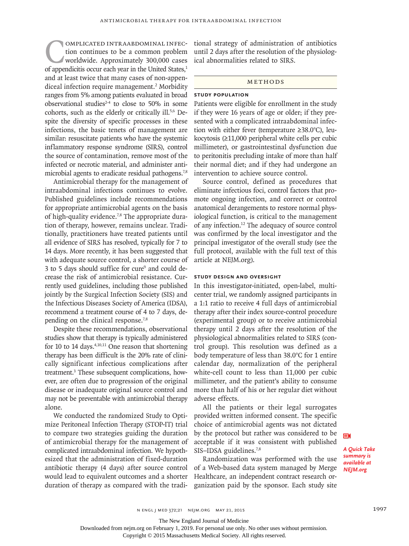COMPLICATED INTRAABDOMINAL INFEC-<br>tion continues to be a common problem<br>worldwide. Approximately 300,000 cases<br>of appendicitis occur each year in the United States,<sup>1</sup> tion continues to be a common problem worldwide. Approximately 300,000 cases and at least twice that many cases of non-appendiceal infection require management.<sup>2</sup> Morbidity ranges from 5% among patients evaluated in broad observational studies<sup> $2-4$ </sup> to close to 50% in some cohorts, such as the elderly or critically ill.5,6 Despite the diversity of specific processes in these infections, the basic tenets of management are similar: resuscitate patients who have the systemic inflammatory response syndrome (SIRS), control the source of contamination, remove most of the infected or necrotic material, and administer antimicrobial agents to eradicate residual pathogens.<sup>7,8</sup>

Antimicrobial therapy for the management of intraabdominal infections continues to evolve. Published guidelines include recommendations for appropriate antimicrobial agents on the basis of high-quality evidence.<sup>7,8</sup> The appropriate duration of therapy, however, remains unclear. Traditionally, practitioners have treated patients until all evidence of SIRS has resolved, typically for 7 to 14 days. More recently, it has been suggested that with adequate source control, a shorter course of 3 to 5 days should suffice for cure<sup>9</sup> and could decrease the risk of antimicrobial resistance. Currently used guidelines, including those published jointly by the Surgical Infection Society (SIS) and the Infectious Diseases Society of America (IDSA), recommend a treatment course of 4 to 7 days, depending on the clinical response.7,8

Despite these recommendations, observational studies show that therapy is typically administered for 10 to 14 days. $4,10,11$  One reason that shortening therapy has been difficult is the 20% rate of clinically significant infectious complications after treatment.<sup>3</sup> These subsequent complications, however, are often due to progression of the original disease or inadequate original source control and may not be preventable with antimicrobial therapy alone.

We conducted the randomized Study to Optimize Peritoneal Infection Therapy (STOP-IT) trial to compare two strategies guiding the duration of antimicrobial therapy for the management of complicated intraabdominal infection. We hypothesized that the administration of fixed-duration antibiotic therapy (4 days) after source control would lead to equivalent outcomes and a shorter duration of therapy as compared with the traditional strategy of administration of antibiotics until 2 days after the resolution of the physiological abnormalities related to SIRS.

## Methods

# **Study Population**

Patients were eligible for enrollment in the study if they were 16 years of age or older; if they presented with a complicated intraabdominal infection with either fever (temperature ≥38.0°C), leukocytosis (≥11,000 peripheral white cells per cubic millimeter), or gastrointestinal dysfunction due to peritonitis precluding intake of more than half their normal diet; and if they had undergone an intervention to achieve source control.

Source control, defined as procedures that eliminate infectious foci, control factors that promote ongoing infection, and correct or control anatomical derangements to restore normal physiological function, is critical to the management of any infection.12 The adequacy of source control was confirmed by the local investigator and the principal investigator of the overall study (see the full protocol, available with the full text of this article at NEJM.org).

# **Study Design and Oversight**

In this investigator-initiated, open-label, multicenter trial, we randomly assigned participants in a 1:1 ratio to receive 4 full days of antimicrobial therapy after their index source-control procedure (experimental group) or to receive antimicrobial therapy until 2 days after the resolution of the physiological abnormalities related to SIRS (control group). This resolution was defined as a body temperature of less than 38.0°C for 1 entire calendar day, normalization of the peripheral white-cell count to less than 11,000 per cubic millimeter, and the patient's ability to consume more than half of his or her regular diet without adverse effects.

All the patients or their legal surrogates provided written informed consent. The specific choice of antimicrobial agents was not dictated by the protocol but rather was considered to be acceptable if it was consistent with published SIS-IDSA guidelines.<sup>7,8</sup>

Randomization was performed with the use of a Web-based data system managed by Merge Healthcare, an independent contract research organization paid by the sponsor. Each study site ЕŃ

*A Quick Take summary is available at NEJM.org*

The New England Journal of Medicine

Downloaded from nejm.org on February 1, 2019. For personal use only. No other uses without permission.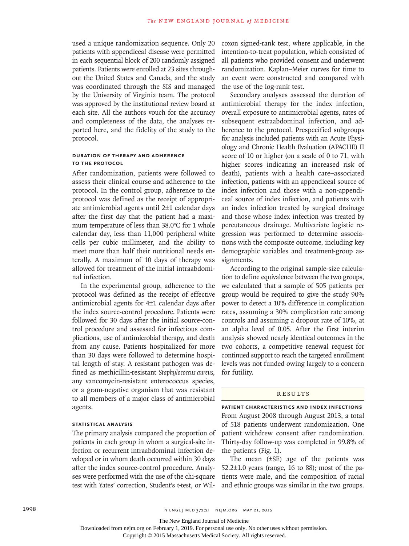used a unique randomization sequence. Only 20 patients with appendiceal disease were permitted in each sequential block of 200 randomly assigned patients. Patients were enrolled at 23 sites throughout the United States and Canada, and the study was coordinated through the SIS and managed by the University of Virginia team. The protocol was approved by the institutional review board at each site. All the authors vouch for the accuracy and completeness of the data, the analyses reported here, and the fidelity of the study to the protocol.

# **Duration of Therapy and Adherence to the Protocol**

After randomization, patients were followed to assess their clinical course and adherence to the protocol. In the control group, adherence to the protocol was defined as the receipt of appropriate antimicrobial agents until 2±1 calendar days after the first day that the patient had a maximum temperature of less than 38.0°C for 1 whole calendar day, less than 11,000 peripheral white cells per cubic millimeter, and the ability to meet more than half their nutritional needs enterally. A maximum of 10 days of therapy was allowed for treatment of the initial intraabdominal infection.

In the experimental group, adherence to the protocol was defined as the receipt of effective antimicrobial agents for 4±1 calendar days after the index source-control procedure. Patients were followed for 30 days after the initial source-control procedure and assessed for infectious complications, use of antimicrobial therapy, and death from any cause. Patients hospitalized for more than 30 days were followed to determine hospital length of stay. A resistant pathogen was defined as methicillin-resistant *Staphylococcus aureus*, any vancomycin-resistant enterococcus species, or a gram-negative organism that was resistant to all members of a major class of antimicrobial agents.

# **Statistical Analysis**

The primary analysis compared the proportion of patients in each group in whom a surgical-site infection or recurrent intraabdominal infection developed or in whom death occurred within 30 days after the index source-control procedure. Analyses were performed with the use of the chi-square test with Yates' correction, Student's t-test, or Wilcoxon signed-rank test, where applicable, in the intention-to-treat population, which consisted of all patients who provided consent and underwent randomization. Kaplan–Meier curves for time to an event were constructed and compared with the use of the log-rank test.

Secondary analyses assessed the duration of antimicrobial therapy for the index infection, overall exposure to antimicrobial agents, rates of subsequent extraabdominal infection, and adherence to the protocol. Prespecified subgroups for analysis included patients with an Acute Physiology and Chronic Health Evaluation (APACHE) II score of 10 or higher (on a scale of 0 to 71, with higher scores indicating an increased risk of death), patients with a health care–associated infection, patients with an appendiceal source of index infection and those with a non-appendiceal source of index infection, and patients with an index infection treated by surgical drainage and those whose index infection was treated by percutaneous drainage. Multivariate logistic regression was performed to determine associations with the composite outcome, including key demographic variables and treatment-group assignments.

According to the original sample-size calculation to define equivalence between the two groups, we calculated that a sample of 505 patients per group would be required to give the study 90% power to detect a 10% difference in complication rates, assuming a 30% complication rate among controls and assuming a dropout rate of 10%, at an alpha level of 0.05. After the first interim analysis showed nearly identical outcomes in the two cohorts, a competitive renewal request for continued support to reach the targeted enrollment levels was not funded owing largely to a concern for futility.

### **RESULTS**

**Patient Characteristics and Index Infections** From August 2008 through August 2013, a total of 518 patients underwent randomization. One patient withdrew consent after randomization. Thirty-day follow-up was completed in 99.8% of the patients (Fig. 1).

The mean (±SE) age of the patients was 52.2±1.0 years (range, 16 to 88); most of the patients were male, and the composition of racial and ethnic groups was similar in the two groups.

The New England Journal of Medicine

Downloaded from nejm.org on February 1, 2019. For personal use only. No other uses without permission.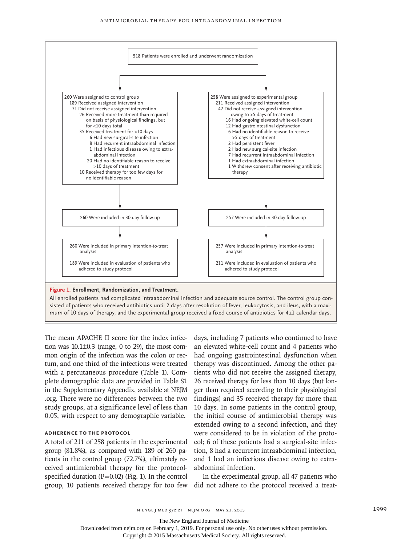

The mean APACHE II score for the index infection was  $10.1\pm0.3$  (range, 0 to 29), the most common origin of the infection was the colon or rectum, and one third of the infections were treated with a percutaneous procedure (Table 1). Complete demographic data are provided in Table S1 in the Supplementary Appendix, available at NEJM .org. There were no differences between the two study groups, at a significance level of less than 0.05, with respect to any demographic variable.

# **Adherence to the Protocol**

A total of 211 of 258 patients in the experimental group (81.8%), as compared with 189 of 260 patients in the control group (72.7%), ultimately received antimicrobial therapy for the protocolspecified duration  $(P=0.02)$  (Fig. 1). In the control group, 10 patients received therapy for too few did not adhere to the protocol received a treat-

days, including 7 patients who continued to have an elevated white-cell count and 4 patients who had ongoing gastrointestinal dysfunction when therapy was discontinued. Among the other patients who did not receive the assigned therapy, 26 received therapy for less than 10 days (but longer than required according to their physiological findings) and 35 received therapy for more than 10 days. In some patients in the control group, the initial course of antimicrobial therapy was extended owing to a second infection, and they were considered to be in violation of the protocol; 6 of these patients had a surgical-site infection, 8 had a recurrent intraabdominal infection, and 1 had an infectious disease owing to extraabdominal infection.

In the experimental group, all 47 patients who

The New England Journal of Medicine

Downloaded from nejm.org on February 1, 2019. For personal use only. No other uses without permission.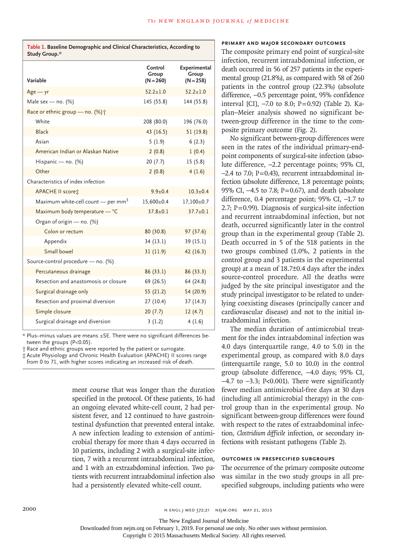| Variable                                       | Control<br>Group<br>$(N = 260)$ | Experimental<br>Group<br>$(N = 258)$ |
|------------------------------------------------|---------------------------------|--------------------------------------|
| $Age - yr$                                     | $52.2 \pm 1.0$                  | $52.2 \pm 1.0$                       |
| Male sex - no. $(%)$                           | 145 (55.8)                      | 144 (55.8)                           |
| Race or ethnic group - no. (%) +               |                                 |                                      |
| White                                          | 208 (80.0)                      | 196 (76.0)                           |
| <b>Black</b>                                   | 43 (16.5)                       | 51(19.8)                             |
| Asian                                          | 5(1.9)                          | 6(2.3)                               |
| American Indian or Alaskan Native              | 2(0.8)                          | 1(0.4)                               |
| Hispanic - no. (%)                             | 20(7.7)                         | 15(5.8)                              |
| Other                                          | 2(0.8)                          | 4(1.6)                               |
| Characteristics of index infection             |                                 |                                      |
| APACHE II scoret                               | $9.9 \pm 0.4$                   | $10.3 \pm 0.4$                       |
| Maximum white-cell count - per mm <sup>3</sup> | 15,600±0.4                      | 17,100±0.7                           |
| Maximum body temperature - °C                  | $37.8 \pm 0.1$                  | $37.7 \pm 0.1$                       |
| Organ of origin - no. (%)                      |                                 |                                      |
| Colon or rectum                                | 80 (30.8)                       | 97 (37.6)                            |
| Appendix                                       | 34(13.1)                        | 39 (15.1)                            |
| Small bowel                                    | 31(11.9)                        | 42 (16.3)                            |
| Source-control procedure - no. (%)             |                                 |                                      |
| Percutaneous drainage                          | 86(33.1)                        | 86 (33.3)                            |
| Resection and anastomosis or closure           | 69 (26.5)                       | 64 (24.8)                            |
| Surgical drainage only                         | 55(21.2)                        | 54 (20.9)                            |
| Resection and proximal diversion               | 27(10.4)                        | 37(14.3)                             |
| Simple closure                                 | 20(7.7)                         | 12(4.7)                              |
| Surgical drainage and diversion                | 3(1.2)                          | 4(1.6)                               |

**Table 1. Baseline Demographic and Clinical Characteristics, According to** 

**Study Group.\***

\* Plus–minus values are means ±SE. There were no significant differences between the groups (P<0.05).

† Race and ethnic groups were reported by the patient or surrogate.

‡ Acute Physiology and Chronic Health Evaluation (APACHE) II scores range from 0 to 71, with higher scores indicating an increased risk of death.

> ment course that was longer than the duration specified in the protocol. Of these patients, 16 had an ongoing elevated white-cell count, 2 had persistent fever, and 12 continued to have gastrointestinal dysfunction that prevented enteral intake. A new infection leading to extension of antimicrobial therapy for more than 4 days occurred in 10 patients, including 2 with a surgical-site infection, 7 with a recurrent intraabdominal infection, and 1 with an extraabdominal infection. Two patients with recurrent intraabdominal infection also had a persistently elevated white-cell count.

#### **Primary and Major Secondary Outcomes**

The composite primary end point of surgical-site infection, recurrent intraabdominal infection, or death occurred in 56 of 257 patients in the experimental group (21.8%), as compared with 58 of 260 patients in the control group (22.3%) (absolute difference, −0.5 percentage point, 95% confidence interval [CI], −7.0 to 8.0; P=0.92) (Table 2). Kaplan–Meier analysis showed no significant between-group difference in the time to the composite primary outcome (Fig. 2).

No significant between-group differences were seen in the rates of the individual primary-endpoint components of surgical-site infection (absolute difference, −2.2 percentage points; 95% CI,  $-2.4$  to 7.0; P=0.43), recurrent intraabdominal infection (absolute difference, 1.8 percentage points; 95% CI, −4.5 to 7.8; P=0.67), and death (absolute difference, 0.4 percentage point; 95% CI, −1.7 to 2.7; P=0.99). Diagnosis of surgical-site infection and recurrent intraabdominal infection, but not death, occurred significantly later in the control group than in the experimental group (Table 2). Death occurred in 5 of the 518 patients in the two groups combined (1.0%, 2 patients in the control group and 3 patients in the experimental group) at a mean of 18.7±0.4 days after the index source-control procedure. All the deaths were judged by the site principal investigator and the study principal investigator to be related to underlying coexisting diseases (principally cancer and cardiovascular disease) and not to the initial intraabdominal infection.

The median duration of antimicrobial treatment for the index intraabdominal infection was 4.0 days (interquartile range, 4.0 to 5.0) in the experimental group, as compared with 8.0 days (interquartile range, 5.0 to 10.0) in the control group (absolute difference, −4.0 days; 95% CI, −4.7 to −3.3; P<0.001). There were significantly fewer median antimicrobial-free days at 30 days (including all antimicrobial therapy) in the control group than in the experimental group. No significant between-group differences were found with respect to the rates of extraabdominal infection, *Clostridium difficile* infection, or secondary infections with resistant pathogens (Table 2).

# **Outcomes in Prespecified Subgroups**

The occurrence of the primary composite outcome was similar in the two study groups in all prespecified subgroups, including patients who were

The New England Journal of Medicine

Downloaded from nejm.org on February 1, 2019. For personal use only. No other uses without permission.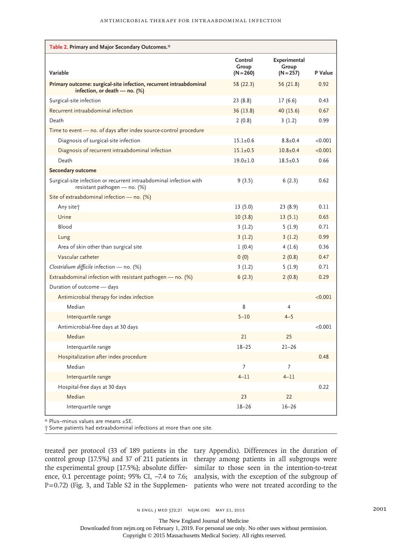| Table 2. Primary and Major Secondary Outcomes.*                                                       |                                 |                                      |         |  |  |  |
|-------------------------------------------------------------------------------------------------------|---------------------------------|--------------------------------------|---------|--|--|--|
| Variable                                                                                              | Control<br>Group<br>$(N = 260)$ | Experimental<br>Group<br>$(N = 257)$ | P Value |  |  |  |
| Primary outcome: surgical-site infection, recurrent intraabdominal<br>infection, or death $-$ no. (%) | 58 (22.3)                       | 56 (21.8)                            | 0.92    |  |  |  |
| Surgical-site infection                                                                               | 23(8.8)                         | 17(6.6)                              | 0.43    |  |  |  |
| Recurrent intraabdominal infection                                                                    | 36 (13.8)                       | 40 (15.6)                            | 0.67    |  |  |  |
| Death                                                                                                 | 2(0.8)                          | 3(1.2)                               | 0.99    |  |  |  |
| Time to event - no. of days after index source-control procedure                                      |                                 |                                      |         |  |  |  |
| Diagnosis of surgical-site infection                                                                  | $15.1 + 0.6$                    | $8.8 + 0.4$                          | < 0.001 |  |  |  |
| Diagnosis of recurrent intraabdominal infection                                                       | $15.1 + 0.5$                    | $10.8 + 0.4$                         | < 0.001 |  |  |  |
| Death                                                                                                 | $19.0 + 1.0$                    | $18.5 + 0.5$                         | 0.66    |  |  |  |
| Secondary outcome                                                                                     |                                 |                                      |         |  |  |  |
| Surgical-site infection or recurrent intraabdominal infection with<br>resistant pathogen - no. $(\%)$ | 9(3.5)                          | 6(2.3)                               | 0.62    |  |  |  |
| Site of extraabdominal infection - no. (%)                                                            |                                 |                                      |         |  |  |  |
| Any site <sup>+</sup>                                                                                 | 13(5.0)                         | 23 (8.9)                             | 0.11    |  |  |  |
| Urine                                                                                                 | 10(3.8)                         | 13(5.1)                              | 0.65    |  |  |  |
| Blood                                                                                                 | 3(1.2)                          | 5(1.9)                               | 0.71    |  |  |  |
| Lung                                                                                                  | 3(1.2)                          | 3(1.2)                               | 0.99    |  |  |  |
| Area of skin other than surgical site                                                                 | 1(0.4)                          | 4(1.6)                               | 0.36    |  |  |  |
| Vascular catheter                                                                                     | 0(0)                            | 2(0.8)                               | 0.47    |  |  |  |
| Clostridium difficile infection $-$ no. (%)                                                           | 3(1.2)                          | 5(1.9)                               | 0.71    |  |  |  |
| Extraabdominal infection with resistant pathogen $-$ no. (%)                                          | 6(2.3)                          | 2(0.8)                               | 0.29    |  |  |  |
| Duration of outcome - days                                                                            |                                 |                                      |         |  |  |  |
| Antimicrobial therapy for index infection                                                             |                                 |                                      | < 0.001 |  |  |  |
| Median                                                                                                | 8                               | 4                                    |         |  |  |  |
| Interquartile range                                                                                   | $5 - 10$                        | $4 - 5$                              |         |  |  |  |
| Antimicrobial-free days at 30 days                                                                    |                                 |                                      | < 0.001 |  |  |  |
| Median                                                                                                | 21                              | 25                                   |         |  |  |  |
| Interquartile range                                                                                   | $18 - 25$                       | $21 - 26$                            |         |  |  |  |
| Hospitalization after index procedure                                                                 |                                 |                                      | 0.48    |  |  |  |
| Median                                                                                                | 7                               | 7                                    |         |  |  |  |
| Interquartile range                                                                                   | $4 - 11$                        | $4 - 11$                             |         |  |  |  |
| Hospital-free days at 30 days                                                                         |                                 |                                      | 0.22    |  |  |  |
| Median                                                                                                | 23                              | 22                                   |         |  |  |  |
| Interquartile range                                                                                   | $18 - 26$                       | $16 - 26$                            |         |  |  |  |

\* Plus–minus values are means ±SE.

† Some patients had extraabdominal infections at more than one site.

treated per protocol (33 of 189 patients in the tary Appendix). Differences in the duration of control group [17.5%] and 37 of 211 patients in therapy among patients in all subgroups were the experimental group [17.5%]; absolute differ-similar to those seen in the intention-to-treat ence, 0.1 percentage point; 95% CI, -7.4 to 7.6; analysis, with the exception of the subgroup of P=0.72) (Fig. 3, and Table S2 in the Supplemen-patients who were not treated according to the

The New England Journal of Medicine

Downloaded from nejm.org on February 1, 2019. For personal use only. No other uses without permission.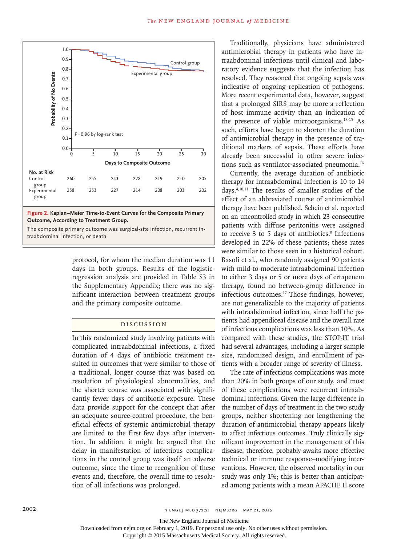

**Figure 2. Kaplan–Meier Time-to-Event Curves for the Composite Primary Outcome, According to Treatment Group.**

The composite primary outcome was surgical-site infection, recurrent in-

protocol, for whom the median duration was 11 days in both groups. Results of the logisticregression analysis are provided in Table S3 in the Supplementary Appendix; there was no significant interaction between treatment groups and the primary composite outcome.

# Discussion

In this randomized study involving patients with complicated intraabdominal infections, a fixed duration of 4 days of antibiotic treatment resulted in outcomes that were similar to those of a traditional, longer course that was based on resolution of physiological abnormalities, and the shorter course was associated with significantly fewer days of antibiotic exposure. These data provide support for the concept that after an adequate source-control procedure, the beneficial effects of systemic antimicrobial therapy are limited to the first few days after intervention. In addition, it might be argued that the delay in manifestation of infectious complications in the control group was itself an adverse outcome, since the time to recognition of these events and, therefore, the overall time to resolution of all infections was prolonged.

Traditionally, physicians have administered antimicrobial therapy in patients who have intraabdominal infections until clinical and laboratory evidence suggests that the infection has resolved. They reasoned that ongoing sepsis was indicative of ongoing replication of pathogens. More recent experimental data, however, suggest that a prolonged SIRS may be more a reflection of host immune activity than an indication of the presence of viable microorganisms.13-15 As such, efforts have begun to shorten the duration of antimicrobial therapy in the presence of traditional markers of sepsis. These efforts have already been successful in other severe infections such as ventilator-associated pneumonia.16

Currently, the average duration of antibiotic therapy for intraabdominal infection is 10 to 14 days.4,10,11 The results of smaller studies of the effect of an abbreviated course of antimicrobial therapy have been published. Schein et al. reported on an uncontrolled study in which 23 consecutive patients with diffuse peritonitis were assigned to receive 3 to 5 days of antibiotics.<sup>9</sup> Infections developed in 22% of these patients; these rates were similar to those seen in a historical cohort. Basoli et al., who randomly assigned 90 patients with mild-to-moderate intraabdominal infection to either 3 days or 5 or more days of ertapenem therapy, found no between-group difference in infectious outcomes.17 Those findings, however, are not generalizable to the majority of patients with intraabdominal infection, since half the patients had appendiceal disease and the overall rate of infectious complications was less than 10%. As compared with these studies, the STOP-IT trial had several advantages, including a larger sample size, randomized design, and enrollment of patients with a broader range of severity of illness.

The rate of infectious complications was more than 20% in both groups of our study, and most of these complications were recurrent intraabdominal infections. Given the large difference in the number of days of treatment in the two study groups, neither shortening nor lengthening the duration of antimicrobial therapy appears likely to affect infectious outcomes. Truly clinically significant improvement in the management of this disease, therefore, probably awaits more effective technical or immune response–modifying interventions. However, the observed mortality in our study was only 1%; this is better than anticipated among patients with a mean APACHE II score

The New England Journal of Medicine

Downloaded from nejm.org on February 1, 2019. For personal use only. No other uses without permission.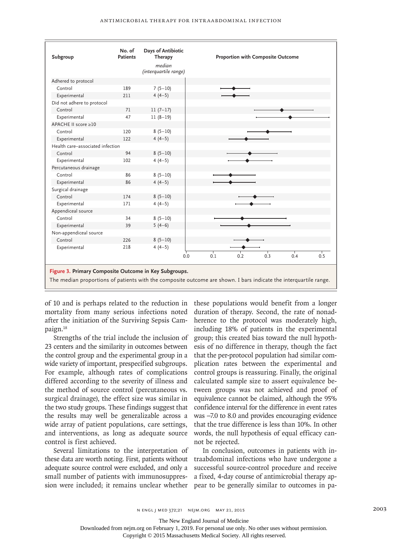| Subgroup                                                                                                                                                                   | No. of<br><b>Patients</b> | Days of Antibiotic<br>Therapy<br>median<br>(interquartile range) | <b>Proportion with Composite Outcome</b>    |  |  |  |
|----------------------------------------------------------------------------------------------------------------------------------------------------------------------------|---------------------------|------------------------------------------------------------------|---------------------------------------------|--|--|--|
| Adhered to protocol                                                                                                                                                        |                           |                                                                  |                                             |  |  |  |
| Control                                                                                                                                                                    | 189                       | $7(5-10)$                                                        |                                             |  |  |  |
| Experimental                                                                                                                                                               | 211                       | $4(4-5)$                                                         |                                             |  |  |  |
| Did not adhere to protocol                                                                                                                                                 |                           |                                                                  |                                             |  |  |  |
| Control                                                                                                                                                                    | 71                        | $11(7-17)$                                                       |                                             |  |  |  |
| Experimental                                                                                                                                                               | 47                        | $11(8-19)$                                                       |                                             |  |  |  |
| APACHE II score ≥10                                                                                                                                                        |                           |                                                                  |                                             |  |  |  |
| Control                                                                                                                                                                    | 120                       | $8(5-10)$                                                        |                                             |  |  |  |
| Experimental                                                                                                                                                               | 122                       | $4(4-5)$                                                         |                                             |  |  |  |
| Health care-associated infection                                                                                                                                           |                           |                                                                  |                                             |  |  |  |
| Control                                                                                                                                                                    | 94                        | $8(5-10)$                                                        |                                             |  |  |  |
| Experimental                                                                                                                                                               | 102                       | $4(4-5)$                                                         |                                             |  |  |  |
| Percutaneous drainage                                                                                                                                                      |                           |                                                                  |                                             |  |  |  |
| Control                                                                                                                                                                    | 86                        | $8(5-10)$                                                        |                                             |  |  |  |
| Experimental                                                                                                                                                               | 86                        | $4(4-5)$                                                         |                                             |  |  |  |
| Surgical drainage                                                                                                                                                          |                           |                                                                  |                                             |  |  |  |
| Control                                                                                                                                                                    | 174                       | $8(5-10)$                                                        |                                             |  |  |  |
| Experimental                                                                                                                                                               | 171                       | $4(4-5)$                                                         |                                             |  |  |  |
| Appendiceal source                                                                                                                                                         |                           |                                                                  |                                             |  |  |  |
| Control                                                                                                                                                                    | 34                        | $8(5-10)$                                                        |                                             |  |  |  |
| Experimental                                                                                                                                                               | 39                        | $5(4-6)$                                                         |                                             |  |  |  |
| Non-appendiceal source                                                                                                                                                     |                           |                                                                  |                                             |  |  |  |
| Control                                                                                                                                                                    | 226                       | $8(5-10)$                                                        |                                             |  |  |  |
| Experimental                                                                                                                                                               | 218                       | $4(4-5)$                                                         |                                             |  |  |  |
|                                                                                                                                                                            |                           |                                                                  | т<br>0.3<br>0.5<br>0.1<br>0.2<br>0.4<br>0.0 |  |  |  |
| Figure 3. Primary Composite Outcome in Key Subgroups.<br>The median proportions of patients with the composite outcome are shown. I bars indicate the interquartile range. |                           |                                                                  |                                             |  |  |  |

of 10 and is perhaps related to the reduction in these populations would benefit from a longer mortality from many serious infections noted after the initiation of the Surviving Sepsis Campaign.18

Strengths of the trial include the inclusion of 23 centers and the similarity in outcomes between the control group and the experimental group in a wide variety of important, prespecified subgroups. For example, although rates of complications differed according to the severity of illness and the method of source control (percutaneous vs. surgical drainage), the effect size was similar in the two study groups. These findings suggest that the results may well be generalizable across a wide array of patient populations, care settings, and interventions, as long as adequate source control is first achieved.

Several limitations to the interpretation of these data are worth noting. First, patients without traabdominal infections who have undergone a adequate source control were excluded, and only a small number of patients with immunosuppression were included; it remains unclear whether pear to be generally similar to outcomes in pa-

duration of therapy. Second, the rate of nonadherence to the protocol was moderately high, including 18% of patients in the experimental group; this created bias toward the null hypothesis of no difference in therapy, though the fact that the per-protocol population had similar complication rates between the experimental and control groups is reassuring. Finally, the original calculated sample size to assert equivalence between groups was not achieved and proof of equivalence cannot be claimed, although the 95% confidence interval for the difference in event rates was −7.0 to 8.0 and provides encouraging evidence that the true difference is less than 10%. In other words, the null hypothesis of equal efficacy cannot be rejected.

In conclusion, outcomes in patients with insuccessful source-control procedure and receive a fixed, 4-day course of antimicrobial therapy ap-

The New England Journal of Medicine

Downloaded from nejm.org on February 1, 2019. For personal use only. No other uses without permission.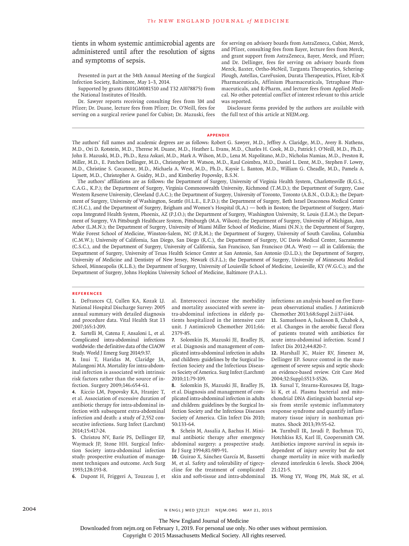tients in whom systemic antimicrobial agents are administered until after the resolution of signs and symptoms of sepsis.

Presented in part at the 34th Annual Meeting of the Surgical Infection Society, Baltimore, May 1–3, 2014.

Supported by grants (R01GM081510 and T32 AI078875) from the National Institutes of Health.

Dr. Sawyer reports receiving consulting fees from 3M and Pfizer; Dr. Duane, lecture fees from Pfizer; Dr. O'Neill, fees for serving on a surgical review panel for Cubist; Dr. Mazuski, fees for serving on advisory boards from AstraZeneca, Cubist, Merck, and Pfizer, consulting fees from Bayer, lecture fees from Merck, and grant support from AstraZeneca, Bayer, Merck, and Pfizer; and Dr. Dellinger, fees for serving on advisory boards from Merck, Baxter, Ortho-McNeil, Targanta Therapeutics, Schering-Plough, Astellas, CareFusion, Durata Therapeutics, Pfizer, Rib-X Pharmaceuticals, Affinium Pharmaceuticals, Tetraphase Pharmaceuticals, and R-Pharm, and lecture fees from Applied Medical. No other potential conflict of interest relevant to this article was reported.

Disclosure forms provided by the authors are available with the full text of this article at NEJM.org.

#### **Appendix**

The authors' full names and academic degrees are as follows: Robert G. Sawyer, M.D., Jeffrey A. Claridge, M.D., Avery B. Nathens, M.D., Ori D. Rotstein, M.D., Therese M. Duane, M.D., Heather L. Evans, M.D., Charles H. Cook, M.D., Patrick J. O'Neill, M.D., Ph.D., John E. Mazuski, M.D., Ph.D., Reza Askari, M.D., Mark A. Wilson, M.D., Lena M. Napolitano, M.D., Nicholas Namias, M.D., Preston R. Miller, M.D., E. Patchen Dellinger, M.D., Christopher M. Watson, M.D., Raul Coimbra, M.D., Daniel L. Dent, M.D., Stephen F. Lowry, M.D., Christine S. Cocanour, M.D., Michaela A. West, M.D., Ph.D., Kaysie L. Banton, M.D., William G. Cheadle, M.D., Pamela A. Lipsett, M.D., Christopher A. Guidry, M.D., and Kimberley Popovsky, B.S.N.

The authors' affiliations are as follows: the Department of Surgery, University of Virginia Health System, Charlottesville (R.G.S., C.A.G., K.P.); the Department of Surgery, Virginia Commonwealth University, Richmond (T.M.D.); the Department of Surgery, Case Western Reserve University, Cleveland (J.A.C.); the Department of Surgery, University of Toronto, Toronto (A.B.N., O.D.R.); the Department of Surgery, University of Washington, Seattle (H.L.E., E.P.D.); the Department of Surgery, Beth Israel Deaconess Medical Center (C.H.C.), and the Department of Surgery, Brigham and Women's Hospital (R.A.) — both in Boston; the Department of Surgery, Maricopa Integrated Health System, Phoenix, AZ (P.J.O.); the Department of Surgery, Washington University, St. Louis (J.E.M.); the Department of Surgery, VA Pittsburgh Healthcare System, Pittsburgh (M.A. Wilson); the Department of Surgery, University of Michigan, Ann Arbor (L.M.N.); the Department of Surgery, University of Miami Miller School of Medicine, Miami (N.N.); the Department of Surgery, Wake Forest School of Medicine, Winston-Salem, NC (P.R.M.); the Department of Surgery, University of South Carolina, Columbia (C.M.W.); University of California, San Diego, San Diego (R.C.), the Department of Surgery, UC Davis Medical Center, Sacramento (C.S.C.), and the Department of Surgery, University of California, San Francisco, San Francisco (M.A. West) — all in California; the Department of Surgery, University of Texas Health Science Center at San Antonio, San Antonio (D.L.D.); the Department of Surgery, University of Medicine and Dentistry of New Jersey, Newark (S.F.L.); the Department of Surgery, University of Minnesota Medical School, Minneapolis (K.L.B.); the Department of Surgery, University of Louisville School of Medicine, Louisville, KY (W.G.C.); and the Department of Surgery, Johns Hopkins University School of Medicine, Baltimore (P.A.L.).

#### **References**

**1.** DeFrances CJ, Cullen KA, Kozak LJ. National Hospital Discharge Survey: 2005 annual summary with detailed diagnosis and procedure data. Vital Health Stat 13 2007;165:1-209.

**2.** Sartelli M, Catena F, Ansaloni L, et al. Complicated intra-abdominal infections worldwide: the definitive data of the CIAOW Study. World J Emerg Surg 2014;9:37.

**3.** Inui T, Haridas M, Claridge JA, Malangoni MA. Mortality for intra-abdominal infection is associated with intrinsic risk factors rather than the source of infection. Surgery 2009;146:654-61.

**4.** Riccio LM, Popovsky KA, Hranjec T, et al. Association of excessive duration of antibiotic therapy for intra-abdominal infection with subsequent extra-abdominal infection and death: a study of 2,552 consecutive infections. Surg Infect (Larchmt) 2014;15:417-24.

**5.** Christou NV, Barie PS, Dellinger EP, Waymack JP, Stone HH. Surgical Infection Society intra-abdominal infection study: prospective evaluation of management techniques and outcome. Arch Surg 1993;128:193-8.

**6.** Dupont H, Friggeri A, Touzeau J, et

al. Enterococci increase the morbidity and mortality associated with severe intra-abdominal infections in elderly patients hospitalized in the intensive care unit. J Antimicrob Chemother 2011;66: 2379-85.

**7.** Solomkin JS, Mazuski JE, Bradley JS, et al. Diagnosis and management of complicated intra-abdominal infection in adults and children: guidelines by the Surgical Infection Society and the Infectious Diseases Society of America. Surg Infect (Larchmt) 2010;11:79-109.

**8.** Solomkin JS, Mazuski JE, Bradley JS, et al. Diagnosis and management of complicated intra-abdominal infection in adults and children: guidelines by the Surgical Infection Society and the Infectious Diseases Society of America. Clin Infect Dis 2010; 50:133-64.

**9.** Schein M, Assalia A, Bachus H. Minimal antibiotic therapy after emergency abdominal surgery: a prospective study. Br J Surg 1994;81:989-91.

**10.** Guirao X, Sánchez García M, Bassetti M, et al. Safety and tolerability of tigecycline for the treatment of complicated skin and soft-tissue and intra-abdominal infections: an analysis based on five European observational studies. J Antimicrob Chemother 2013;68:Suppl 2:ii37-ii44.

**11.** Samuelsson A, Isaksson B, Chabok A, et al. Changes in the aerobic faecal flora of patients treated with antibiotics for acute intra-abdominal infection. Scand J Infect Dis 2012;44:820-7.

**12.** Marshall JC, Maier RV, Jimenez M, Dellinger EP. Source control in the management of severe sepsis and septic shock: an evidence-based review. Crit Care Med 2004;32:Suppl:S513-S526.

**13.** Sursal T, Stearns-Kurosawa DJ, Itagaki K, et al. Plasma bacterial and mitochondrial DNA distinguish bacterial sepsis from sterile systemic inflammatory response syndrome and quantify inflammatory tissue injury in nonhuman primates. Shock 2013;39:55-62.

**14.** Turnbull IR, Javadi P, Buchman TG, Hotchkiss RS, Karl IE, Coopersmith CM. Antibiotics improve survival in sepsis independent of injury severity but do not change mortality in mice with markedly elevated interleukin 6 levels. Shock 2004; 21:121-5.

**15.** Wong YY, Wong PN, Mak SK, et al.

The New England Journal of Medicine

Downloaded from nejm.org on February 1, 2019. For personal use only. No other uses without permission.